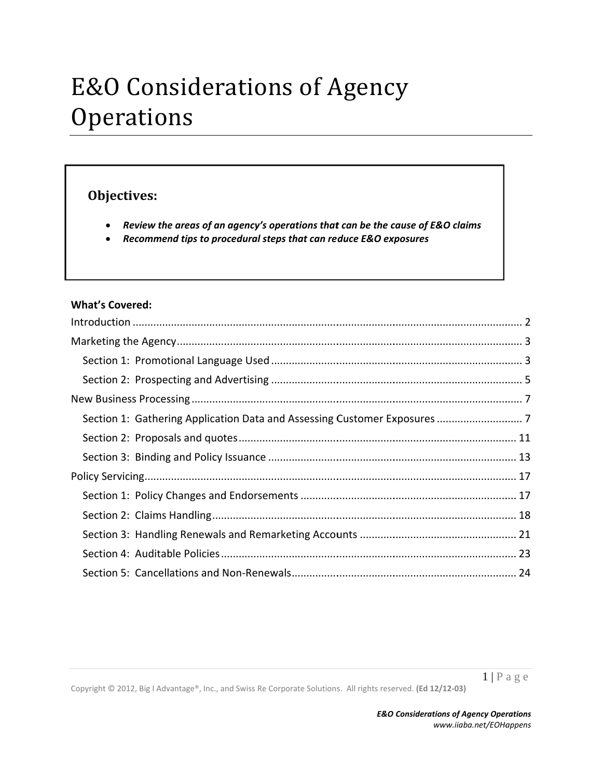# E&O Considerations of Agency **Operations**

# **Obje ectives:**

- Review the areas of an agency's operations that can be the cause of E&O claims
- $\bullet$ *Recommen nd tips to pro ocedural step ps that can re duce E&O ex xposures*

#### **What's C Covered:**

Copyright © 2012, Big I Advantage®, Inc., and Swiss Re Corporate Solutions. All rights reserved. (Ed 12/12-03)

 $1 | P a g e$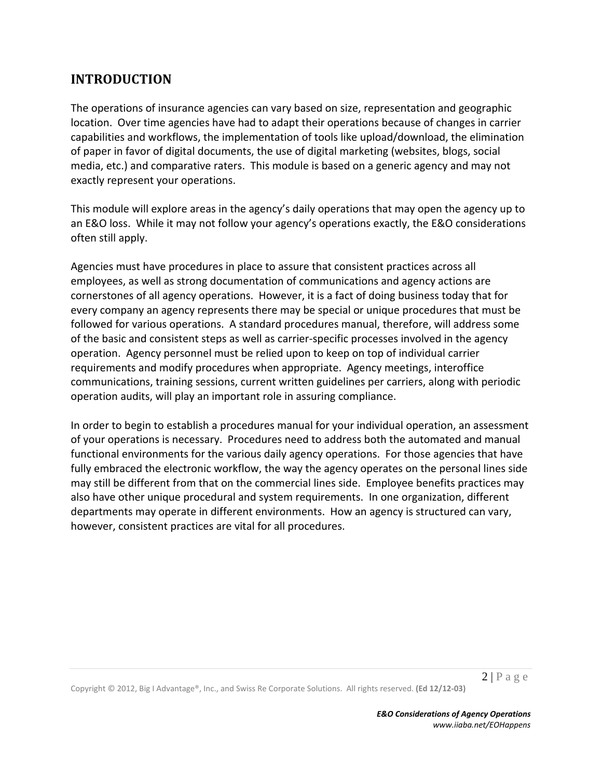# **INTRODUCTION**

The operations of insurance agencies can vary based on size, representation and geographic location. Over time agencies have had to adapt their operations because of changes in carrier capabilities and workflows, the implementation of tools like upload/download, the elimination of paper in favor of digital documents, the use of digital marketing (websites, blogs, social media, etc.) and comparative raters. This module is based on a generic agency and may not exactly represent your operations.

This module will explore areas in the agency's daily operations that may open the agency up to an E&O loss. While it may not follow your agency's operations exactly, the E&O considerations often still apply.

Agencies must have procedures in place to assure that consistent practices across all employees, as well as strong documentation of communications and agency actions are cornerstones of all agency operations. However, it is a fact of doing business today that for every company an agency represents there may be special or unique procedures that must be followed for various operations. A standard procedures manual, therefore, will address some of the basic and consistent steps as well as carrier‐specific processes involved in the agency operation. Agency personnel must be relied upon to keep on top of individual carrier requirements and modify procedures when appropriate. Agency meetings, interoffice communications, training sessions, current written guidelines per carriers, along with periodic operation audits, will play an important role in assuring compliance.

In order to begin to establish a procedures manual for your individual operation, an assessment of your operations is necessary. Procedures need to address both the automated and manual functional environments for the various daily agency operations. For those agencies that have fully embraced the electronic workflow, the way the agency operates on the personal lines side may still be different from that on the commercial lines side. Employee benefits practices may also have other unique procedural and system requirements. In one organization, different departments may operate in different environments. How an agency is structured can vary, however, consistent practices are vital for all procedures.

Copyright © 2012, Big I Advantage®, Inc., and Swiss Re Corporate Solutions. All rights reserved. **(Ed 12/12‐03)**

 $2|P$ age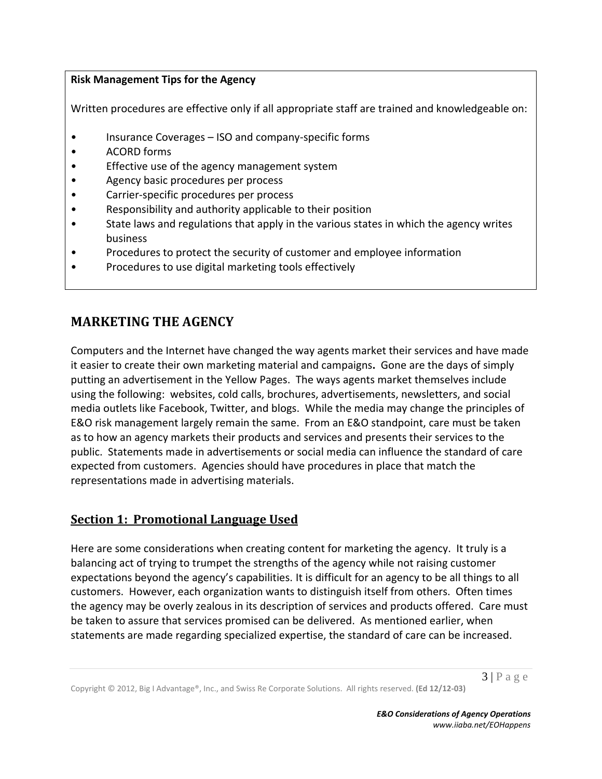#### **Risk Management Tips for the Agency**

Written procedures are effective only if all appropriate staff are trained and knowledgeable on:

- Insurance Coverages ISO and company-specific forms
- ACORD forms
- Effective use of the agency management system
- Agency basic procedures per process
- Carrier‐specific procedures per process
- Responsibility and authority applicable to their position
- State laws and regulations that apply in the various states in which the agency writes business
- Procedures to protect the security of customer and employee information
- Procedures to use digital marketing tools effectively

# **MARKETING THE AGENCY**

Computers and the Internet have changed the way agents market their services and have made it easier to create their own marketing material and campaigns**.** Gone are the days of simply putting an advertisement in the Yellow Pages. The ways agents market themselves include using the following: websites, cold calls, brochures, advertisements, newsletters, and social media outlets like Facebook, Twitter, and blogs. While the media may change the principles of E&O risk management largely remain the same. From an E&O standpoint, care must be taken as to how an agency markets their products and services and presents their services to the public. Statements made in advertisements or social media can influence the standard of care expected from customers. Agencies should have procedures in place that match the representations made in advertising materials.

#### **Section 1: Promotional Language Used**

Here are some considerations when creating content for marketing the agency. It truly is a balancing act of trying to trumpet the strengths of the agency while not raising customer expectations beyond the agency's capabilities. It is difficult for an agency to be all things to all customers. However, each organization wants to distinguish itself from others. Often times the agency may be overly zealous in its description of services and products offered. Care must be taken to assure that services promised can be delivered. As mentioned earlier, when statements are made regarding specialized expertise, the standard of care can be increased.

 $3 | P \text{ a } g \text{ e}$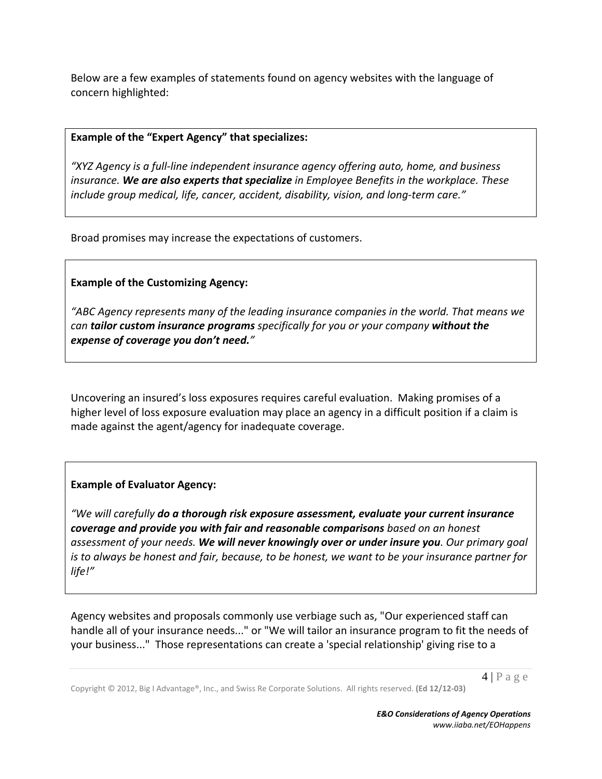Below are a few examples of statements found on agency websites with the language of concern highlighted:

#### **Example of the "Expert Agency" that specializes:**

*"XYZ Agency is a full‐line independent insurance agency offering auto, home, and business insurance. We are also experts that specialize in Employee Benefits in the workplace. These include group medical, life, cancer, accident, disability, vision, and long‐term care."*

Broad promises may increase the expectations of customers.

#### **Example of the Customizing Agency:**

*"ABC Agency represents many of the leading insurance companies in the world. That means we can tailor custom insurance programs specifically for you or your company without the expense of coverage you don't need."*

Uncovering an insured's loss exposures requires careful evaluation. Making promises of a higher level of loss exposure evaluation may place an agency in a difficult position if a claim is made against the agent/agency for inadequate coverage.

#### **Example of Evaluator Agency:**

*"We will carefully do a thorough risk exposure assessment, evaluate your current insurance coverage and provide you with fair and reasonable comparisons based on an honest assessment of your needs. We will never knowingly over or under insure you. Our primary goal* is to always be honest and fair, because, to be honest, we want to be your insurance partner for *life!"*

Agency websites and proposals commonly use verbiage such as, "Our experienced staff can handle all of your insurance needs..." or "We will tailor an insurance program to fit the needs of your business..." Those representations can create a 'special relationship' giving rise to a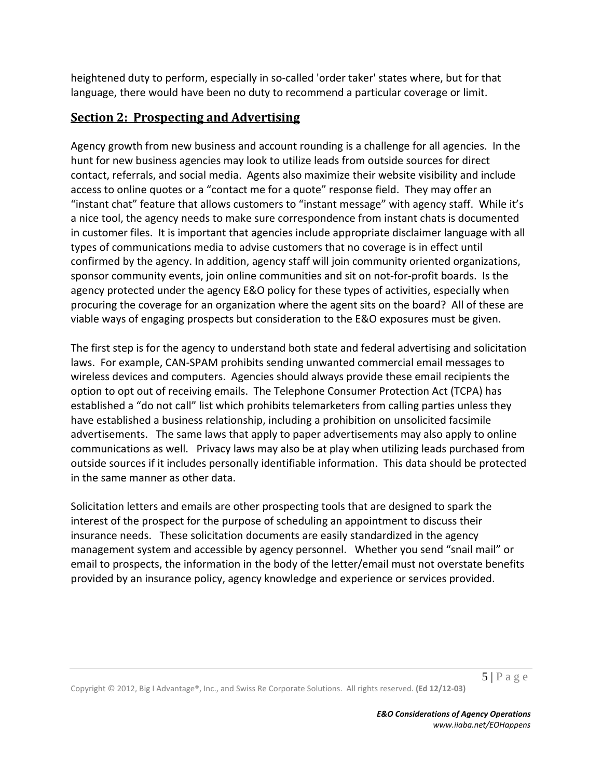heightened duty to perform, especially in so-called 'order taker' states where, but for that language, there would have been no duty to recommend a particular coverage or limit.

# **Section 2: Prospecting and Advertising**

Agency growth from new business and account rounding is a challenge for all agencies. In the hunt for new business agencies may look to utilize leads from outside sources for direct contact, referrals, and social media. Agents also maximize their website visibility and include access to online quotes or a "contact me for a quote" response field. They may offer an "instant chat" feature that allows customers to "instant message" with agency staff. While it's a nice tool, the agency needs to make sure correspondence from instant chats is documented in customer files. It is important that agencies include appropriate disclaimer language with all types of communications media to advise customers that no coverage is in effect until confirmed by the agency. In addition, agency staff will join community oriented organizations, sponsor community events, join online communities and sit on not-for-profit boards. Is the agency protected under the agency E&O policy for these types of activities, especially when procuring the coverage for an organization where the agent sits on the board? All of these are viable ways of engaging prospects but consideration to the E&O exposures must be given.

The first step is for the agency to understand both state and federal advertising and solicitation laws. For example, CAN‐SPAM prohibits sending unwanted commercial email messages to wireless devices and computers. Agencies should always provide these email recipients the option to opt out of receiving emails. The Telephone Consumer Protection Act (TCPA) has established a "do not call" list which prohibits telemarketers from calling parties unless they have established a business relationship, including a prohibition on unsolicited facsimile advertisements. The same laws that apply to paper advertisements may also apply to online communications as well. Privacy laws may also be at play when utilizing leads purchased from outside sources if it includes personally identifiable information. This data should be protected in the same manner as other data.

Solicitation letters and emails are other prospecting tools that are designed to spark the interest of the prospect for the purpose of scheduling an appointment to discuss their insurance needs. These solicitation documents are easily standardized in the agency management system and accessible by agency personnel. Whether you send "snail mail" or email to prospects, the information in the body of the letter/email must not overstate benefits provided by an insurance policy, agency knowledge and experience or services provided.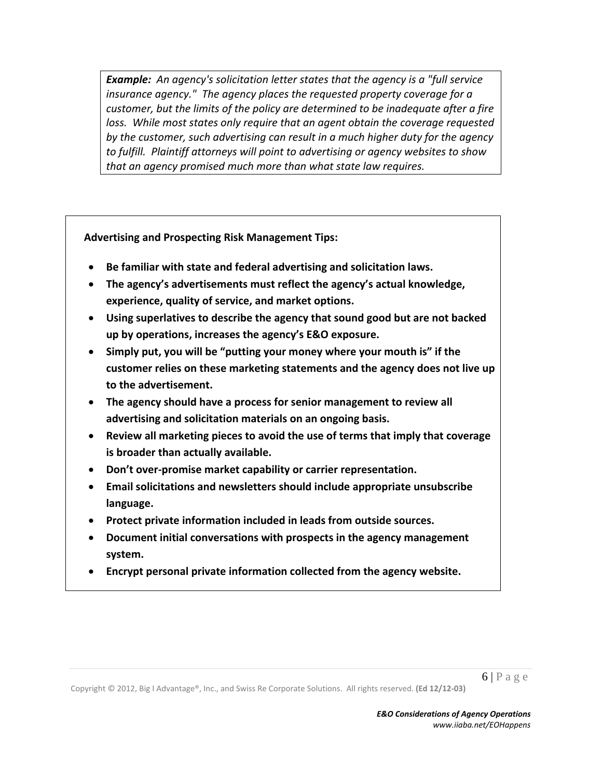*Example: An agency's solicitation letter states that the agency is a "full service insurance agency." The agency places the requested property coverage for a customer, but the limits of the policy are determined to be inadequate after a fire loss. While most states only require that an agent obtain the coverage requested by the customer, such advertising can result in a much higher duty for the agency to fulfill. Plaintiff attorneys will point to advertising or agency websites to show that an agency promised much more than what state law requires.*

**Advertising and Prospecting Risk Management Tips:**

- **Be familiar with state and federal advertising and solicitation laws.**
- **The agency's advertisements must reflect the agency's actual knowledge, experience, quality of service, and market options.**
- **Using superlatives to describe the agency that sound good but are not backed up by operations, increases the agency's E&O exposure.**
- **Simply put, you will be "putting your money where your mouth is" if the customer relies on these marketing statements and the agency does not live up to the advertisement.**
- **The agency should have a process for senior management to review all advertising and solicitation materials on an ongoing basis.**
- **Review all marketing pieces to avoid the use of terms that imply that coverage is broader than actually available.**
- **Don't over‐promise market capability or carrier representation.**
- **Email solicitations and newsletters should include appropriate unsubscribe language.**
- **Protect private information included in leads from outside sources.**
- **Document initial conversations with prospects in the agency management system.**
- **Encrypt personal private information collected from the agency website.**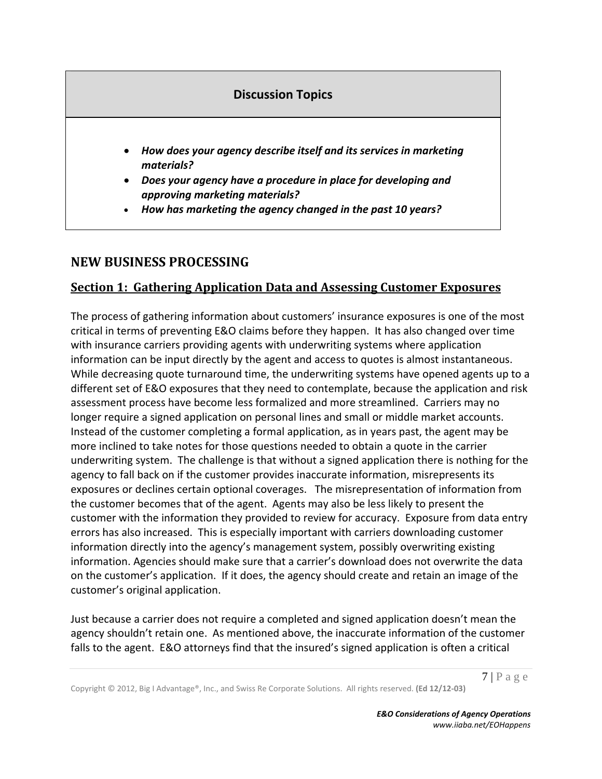# **Discussion Topics**

- *How does your agency describe itself and its services in marketing materials?*
- *Does your agency have a procedure in place for developing and approving marketing materials?*
- *How has marketing the agency changed in the past 10 years?*

# **NEW BUSINESS PROCESSING**

# **Section 1: Gathering Application Data and Assessing Customer Exposures**

The process of gathering information about customers' insurance exposures is one of the most critical in terms of preventing E&O claims before they happen. It has also changed over time with insurance carriers providing agents with underwriting systems where application information can be input directly by the agent and access to quotes is almost instantaneous. While decreasing quote turnaround time, the underwriting systems have opened agents up to a different set of E&O exposures that they need to contemplate, because the application and risk assessment process have become less formalized and more streamlined. Carriers may no longer require a signed application on personal lines and small or middle market accounts. Instead of the customer completing a formal application, as in years past, the agent may be more inclined to take notes for those questions needed to obtain a quote in the carrier underwriting system. The challenge is that without a signed application there is nothing for the agency to fall back on if the customer provides inaccurate information, misrepresents its exposures or declines certain optional coverages. The misrepresentation of information from the customer becomes that of the agent. Agents may also be less likely to present the customer with the information they provided to review for accuracy. Exposure from data entry errors has also increased. This is especially important with carriers downloading customer information directly into the agency's management system, possibly overwriting existing information. Agencies should make sure that a carrier's download does not overwrite the data on the customer's application. If it does, the agency should create and retain an image of the customer's original application.

Just because a carrier does not require a completed and signed application doesn't mean the agency shouldn't retain one. As mentioned above, the inaccurate information of the customer falls to the agent. E&O attorneys find that the insured's signed application is often a critical

Copyright © 2012, Big I Advantage®, Inc., and Swiss Re Corporate Solutions. All rights reserved. **(Ed 12/12‐03)**

 $7 | P \text{ a } g \text{ e}$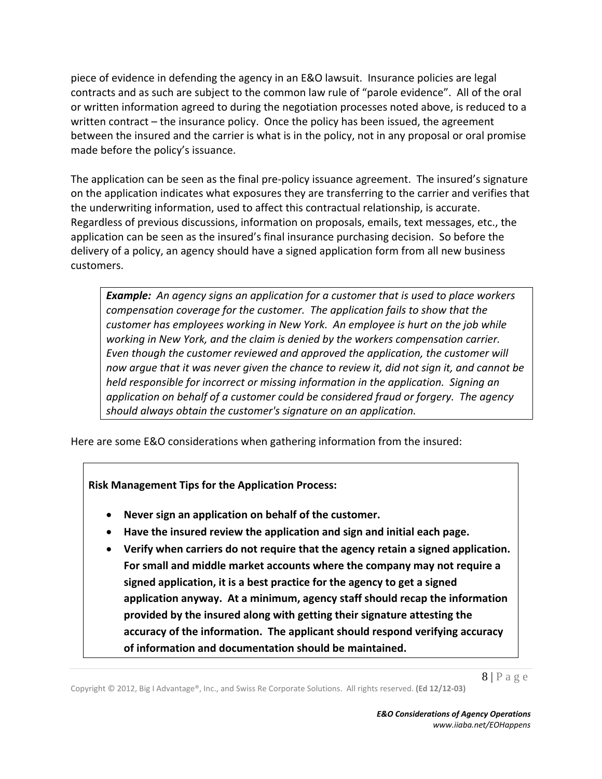piece of evidence in defending the agency in an E&O lawsuit. Insurance policies are legal contracts and as such are subject to the common law rule of "parole evidence". All of the oral or written information agreed to during the negotiation processes noted above, is reduced to a written contract – the insurance policy. Once the policy has been issued, the agreement between the insured and the carrier is what is in the policy, not in any proposal or oral promise made before the policy's issuance.

The application can be seen as the final pre-policy issuance agreement. The insured's signature on the application indicates what exposures they are transferring to the carrier and verifies that the underwriting information, used to affect this contractual relationship, is accurate. Regardless of previous discussions, information on proposals, emails, text messages, etc., the application can be seen as the insured's final insurance purchasing decision. So before the delivery of a policy, an agency should have a signed application form from all new business customers.

*Example: An agency signs an application for a customer that is used to place workers compensation coverage for the customer. The application fails to show that the customer has employees working in New York. An employee is hurt on the job while working in New York, and the claim is denied by the workers compensation carrier. Even though the customer reviewed and approved the application, the customer will now argue that it was never given the chance to review it, did not sign it, and cannot be held responsible for incorrect or missing information in the application. Signing an application on behalf of a customer could be considered fraud or forgery. The agency should always obtain the customer's signature on an application.*

Here are some E&O considerations when gathering information from the insured:

**Risk Management Tips for the Application Process:** 

- **Never sign an application on behalf of the customer.**
- **Have the insured review the application and sign and initial each page.**
- **Verify when carriers do not require that the agency retain a signed application. For small and middle market accounts where the company may not require a signed application, it is a best practice for the agency to get a signed application anyway. At a minimum, agency staff should recap the information provided by the insured along with getting their signature attesting the accuracy of the information. The applicant should respond verifying accuracy of information and documentation should be maintained.**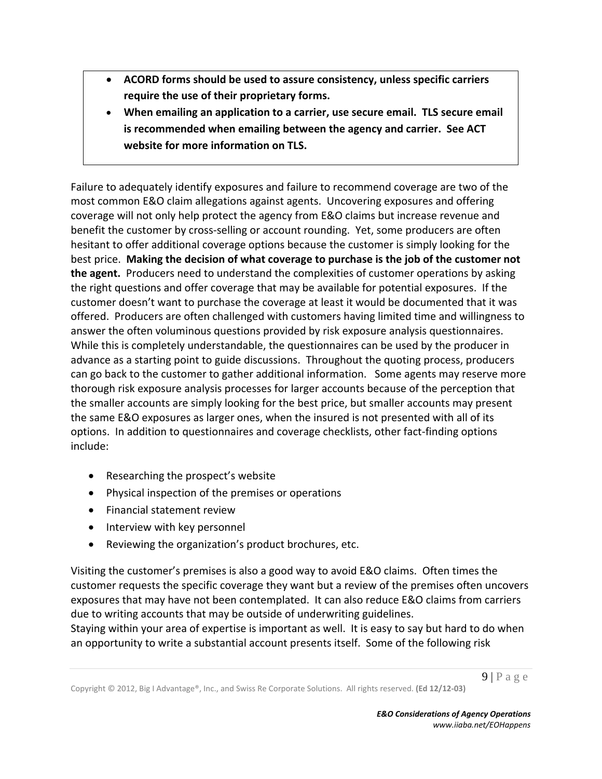- **ACORD forms should be used to assure consistency, unless specific carriers require the use of their proprietary forms.**
- **When emailing an application to a carrier, use secure email. TLS secure email is recommended when emailing between the agency and carrier. See ACT website for more information on TLS.**

Failure to adequately identify exposures and failure to recommend coverage are two of the most common E&O claim allegations against agents. Uncovering exposures and offering coverage will not only help protect the agency from E&O claims but increase revenue and benefit the customer by cross-selling or account rounding. Yet, some producers are often hesitant to offer additional coverage options because the customer is simply looking for the best price. **Making the decision of what coverage to purchase is the job of the customer not the agent.** Producers need to understand the complexities of customer operations by asking the right questions and offer coverage that may be available for potential exposures. If the customer doesn't want to purchase the coverage at least it would be documented that it was offered. Producers are often challenged with customers having limited time and willingness to answer the often voluminous questions provided by risk exposure analysis questionnaires. While this is completely understandable, the questionnaires can be used by the producer in advance as a starting point to guide discussions. Throughout the quoting process, producers can go back to the customer to gather additional information. Some agents may reserve more thorough risk exposure analysis processes for larger accounts because of the perception that the smaller accounts are simply looking for the best price, but smaller accounts may present the same E&O exposures as larger ones, when the insured is not presented with all of its options. In addition to questionnaires and coverage checklists, other fact‐finding options include:

- Researching the prospect's website
- Physical inspection of the premises or operations
- Financial statement review
- Interview with key personnel
- Reviewing the organization's product brochures, etc.

Visiting the customer's premises is also a good way to avoid E&O claims. Often times the customer requests the specific coverage they want but a review of the premises often uncovers exposures that may have not been contemplated. It can also reduce E&O claims from carriers due to writing accounts that may be outside of underwriting guidelines.

Staying within your area of expertise is important as well. It is easy to say but hard to do when an opportunity to write a substantial account presents itself. Some of the following risk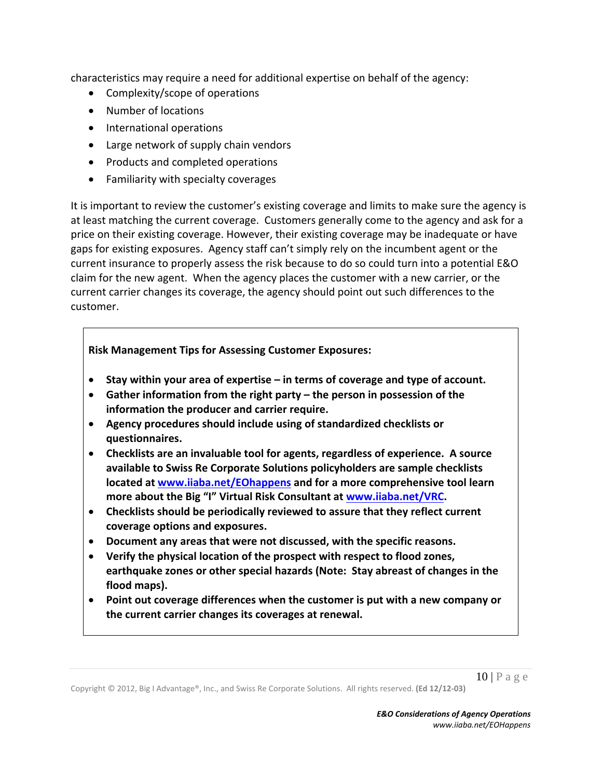characteristics may require a need for additional expertise on behalf of the agency:

- Complexity/scope of operations
- Number of locations
- International operations
- Large network of supply chain vendors
- Products and completed operations
- Familiarity with specialty coverages

It is important to review the customer's existing coverage and limits to make sure the agency is at least matching the current coverage. Customers generally come to the agency and ask for a price on their existing coverage. However, their existing coverage may be inadequate or have gaps for existing exposures. Agency staff can't simply rely on the incumbent agent or the current insurance to properly assess the risk because to do so could turn into a potential E&O claim for the new agent. When the agency places the customer with a new carrier, or the current carrier changes its coverage, the agency should point out such differences to the customer.

#### **Risk Management Tips for Assessing Customer Exposures:**

- **Stay within your area of expertise – in terms of coverage and type of account.**
- **Gather information from the right party – the person in possession of the information the producer and carrier require.**
- **Agency procedures should include using of standardized checklists or questionnaires.**
- **Checklists are an invaluable tool for agents, regardless of experience. A source available to Swiss Re Corporate Solutions policyholders are sample checklists located at www.iiaba.net/EOhappens and for a more comprehensive tool learn more about the Big "I" Virtual Risk Consultant at www.iiaba.net/VRC.**
- **Checklists should be periodically reviewed to assure that they reflect current coverage options and exposures.**
- **Document any areas that were not discussed, with the specific reasons.**
- **Verify the physical location of the prospect with respect to flood zones, earthquake zones or other special hazards (Note: Stay abreast of changes in the flood maps).**
- **Point out coverage differences when the customer is put with a new company or the current carrier changes its coverages at renewal.**

 $10$  | P a g e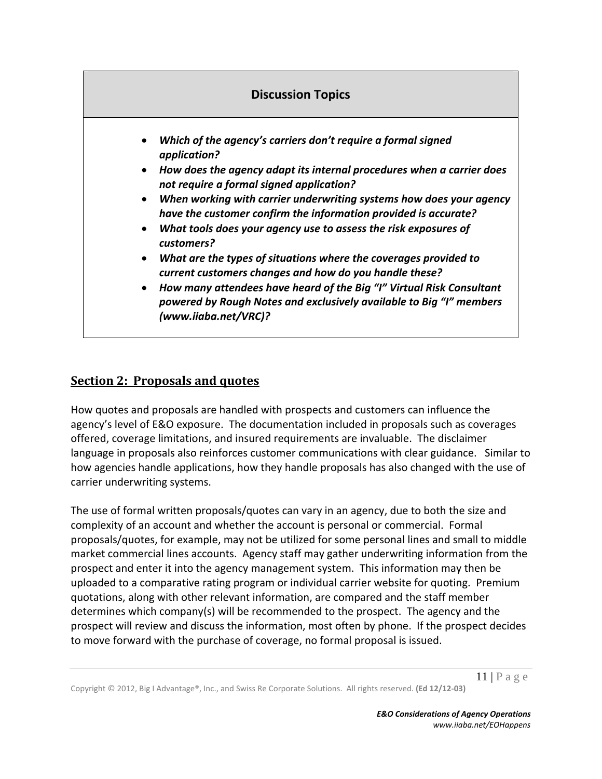

# **Section 2: Proposals and quotes**

How quotes and proposals are handled with prospects and customers can influence the agency's level of E&O exposure. The documentation included in proposals such as coverages offered, coverage limitations, and insured requirements are invaluable. The disclaimer language in proposals also reinforces customer communications with clear guidance. Similar to how agencies handle applications, how they handle proposals has also changed with the use of carrier underwriting systems.

The use of formal written proposals/quotes can vary in an agency, due to both the size and complexity of an account and whether the account is personal or commercial. Formal proposals/quotes, for example, may not be utilized for some personal lines and small to middle market commercial lines accounts. Agency staff may gather underwriting information from the prospect and enter it into the agency management system. This information may then be uploaded to a comparative rating program or individual carrier website for quoting. Premium quotations, along with other relevant information, are compared and the staff member determines which company(s) will be recommended to the prospect. The agency and the prospect will review and discuss the information, most often by phone. If the prospect decides to move forward with the purchase of coverage, no formal proposal is issued.

 $11$  | P a g e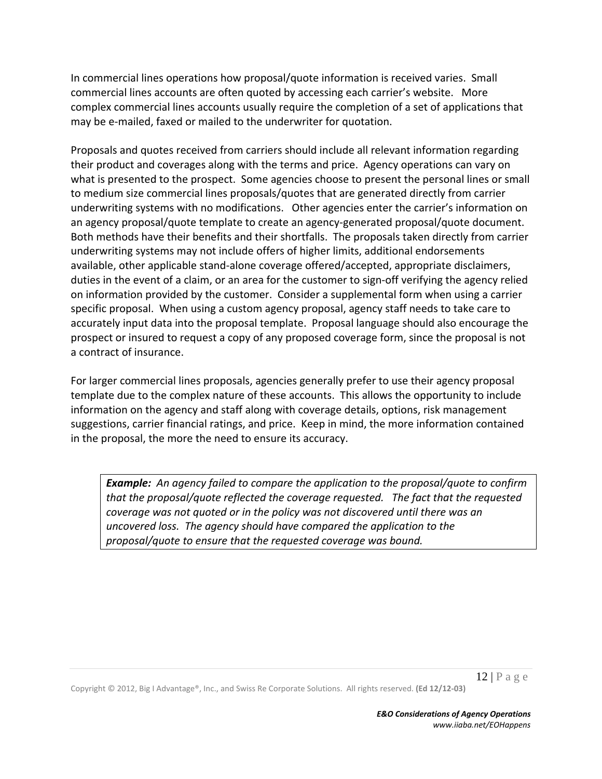In commercial lines operations how proposal/quote information is received varies. Small commercial lines accounts are often quoted by accessing each carrier's website. More complex commercial lines accounts usually require the completion of a set of applications that may be e‐mailed, faxed or mailed to the underwriter for quotation.

Proposals and quotes received from carriers should include all relevant information regarding their product and coverages along with the terms and price. Agency operations can vary on what is presented to the prospect. Some agencies choose to present the personal lines or small to medium size commercial lines proposals/quotes that are generated directly from carrier underwriting systems with no modifications. Other agencies enter the carrier's information on an agency proposal/quote template to create an agency-generated proposal/quote document. Both methods have their benefits and their shortfalls. The proposals taken directly from carrier underwriting systems may not include offers of higher limits, additional endorsements available, other applicable stand‐alone coverage offered/accepted, appropriate disclaimers, duties in the event of a claim, or an area for the customer to sign‐off verifying the agency relied on information provided by the customer. Consider a supplemental form when using a carrier specific proposal. When using a custom agency proposal, agency staff needs to take care to accurately input data into the proposal template. Proposal language should also encourage the prospect or insured to request a copy of any proposed coverage form, since the proposal is not a contract of insurance.

For larger commercial lines proposals, agencies generally prefer to use their agency proposal template due to the complex nature of these accounts. This allows the opportunity to include information on the agency and staff along with coverage details, options, risk management suggestions, carrier financial ratings, and price. Keep in mind, the more information contained in the proposal, the more the need to ensure its accuracy.

*Example: An agency failed to compare the application to the proposal/quote to confirm that the proposal/quote reflected the coverage requested. The fact that the requested coverage was not quoted or in the policy was not discovered until there was an uncovered loss. The agency should have compared the application to the proposal/quote to ensure that the requested coverage was bound.*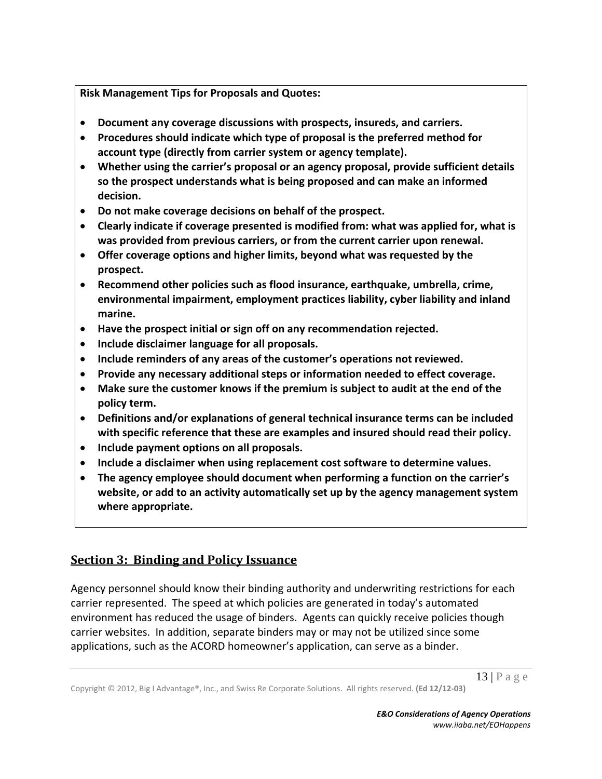**Risk Management Tips for Proposals and Quotes:** 

- **Document any coverage discussions with prospects, insureds, and carriers.**
- **Procedures should indicate which type of proposal is the preferred method for account type (directly from carrier system or agency template).**
- **Whether using the carrier's proposal or an agency proposal, provide sufficient details so the prospect understands what is being proposed and can make an informed decision.**
- **Do not make coverage decisions on behalf of the prospect.**
- **Clearly indicate if coverage presented is modified from: what was applied for, what is was provided from previous carriers, or from the current carrier upon renewal.**
- **Offer coverage options and higher limits, beyond what was requested by the prospect.**
- **Recommend other policies such as flood insurance, earthquake, umbrella, crime, environmental impairment, employment practices liability, cyber liability and inland marine.**
- **Have the prospect initial or sign off on any recommendation rejected.**
- **Include disclaimer language for all proposals.**
- **Include reminders of any areas of the customer's operations not reviewed.**
- **Provide any necessary additional steps or information needed to effect coverage.**
- **Make sure the customer knows if the premium is subject to audit at the end of the policy term.**
- **Definitions and/or explanations of general technical insurance terms can be included with specific reference that these are examples and insured should read their policy.**
- **Include payment options on all proposals.**
- **Include a disclaimer when using replacement cost software to determine values.**
- **The agency employee should document when performing a function on the carrier's website, or add to an activity automatically set up by the agency management system where appropriate.**

# **Section 3: Binding and Policy Issuance**

Agency personnel should know their binding authority and underwriting restrictions for each carrier represented. The speed at which policies are generated in today's automated environment has reduced the usage of binders. Agents can quickly receive policies though carrier websites. In addition, separate binders may or may not be utilized since some applications, such as the ACORD homeowner's application, can serve as a binder.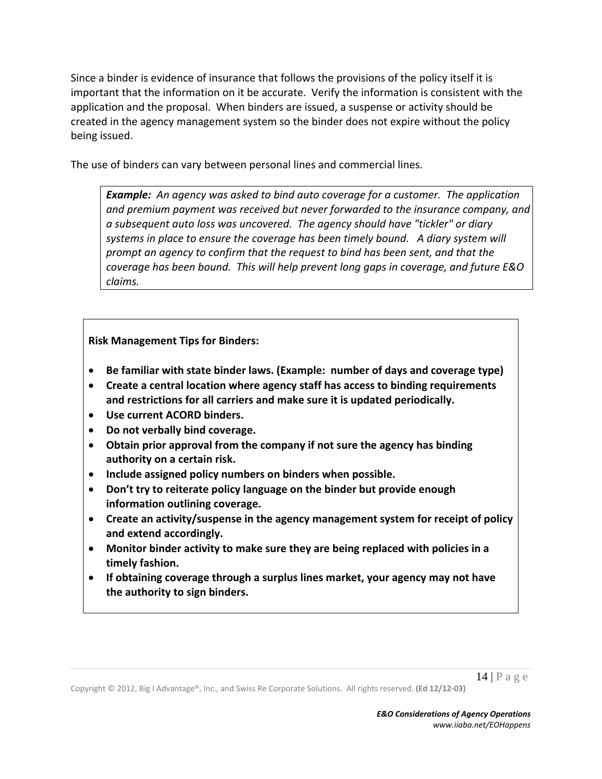Since a binder is evidence of insurance that follows the provisions of the policy itself it is important that the information on it be accurate. Verify the information is consistent with the application and the proposal. When binders are issued, a suspense or activity should be created in the agency management system so the binder does not expire without the policy being issued.

The use of binders can vary between personal lines and commercial lines.

*Example: An agency was asked to bind auto coverage for a customer. The application and premium payment was received but never forwarded to the insurance company, and a subsequent auto loss was uncovered. The agency should have "tickler" or diary systems in place to ensure the coverage has been timely bound. A diary system will prompt an agency to confirm that the request to bind has been sent, and that the coverage has been bound. This will help prevent long gaps in coverage, and future E&O claims.*

**Risk Management Tips for Binders:** 

- **Be familiar with state binder laws. (Example: number of days and coverage type)**
- **Create a central location where agency staff has access to binding requirements and restrictions for all carriers and make sure it is updated periodically.**
- **Use current ACORD binders.**
- **Do not verbally bind coverage.**
- **Obtain prior approval from the company if not sure the agency has binding authority on a certain risk.**
- **Include assigned policy numbers on binders when possible.**
- **Don't try to reiterate policy language on the binder but provide enough information outlining coverage.**
- **Create an activity/suspense in the agency management system for receipt of policy and extend accordingly.**
- **Monitor binder activity to make sure they are being replaced with policies in a timely fashion.**
- **If obtaining coverage through a surplus lines market, your agency may not have the authority to sign binders.**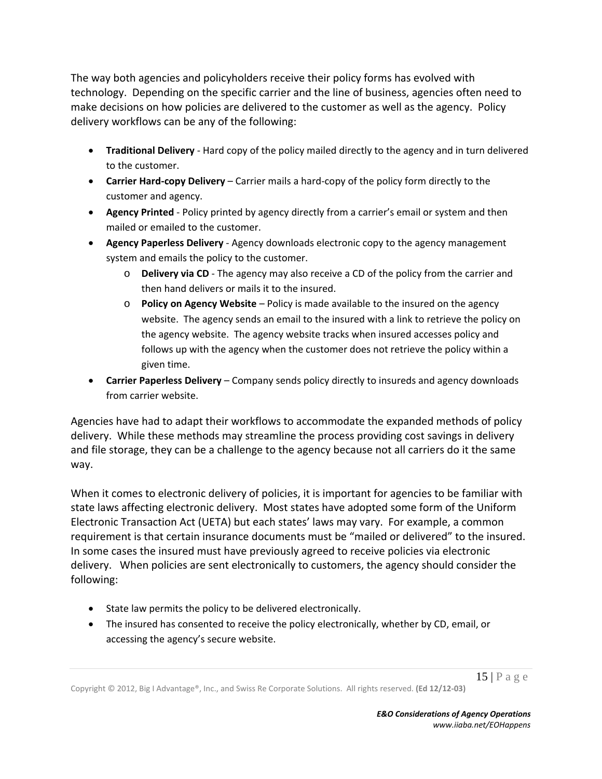The way both agencies and policyholders receive their policy forms has evolved with technology. Depending on the specific carrier and the line of business, agencies often need to make decisions on how policies are delivered to the customer as well as the agency. Policy delivery workflows can be any of the following:

- **Traditional Delivery** ‐ Hard copy of the policy mailed directly to the agency and in turn delivered to the customer.
- **Carrier Hard‐copy Delivery** Carrier mails a hard‐copy of the policy form directly to the customer and agency.
- **Agency Printed** ‐ Policy printed by agency directly from a carrier's email or system and then mailed or emailed to the customer.
- **Agency Paperless Delivery** ‐ Agency downloads electronic copy to the agency management system and emails the policy to the customer.
	- o **Delivery via CD** ‐ The agency may also receive a CD of the policy from the carrier and then hand delivers or mails it to the insured.
	- o **Policy on Agency Website** Policy is made available to the insured on the agency website. The agency sends an email to the insured with a link to retrieve the policy on the agency website. The agency website tracks when insured accesses policy and follows up with the agency when the customer does not retrieve the policy within a given time.
- **Carrier Paperless Delivery** Company sends policy directly to insureds and agency downloads from carrier website.

Agencies have had to adapt their workflows to accommodate the expanded methods of policy delivery. While these methods may streamline the process providing cost savings in delivery and file storage, they can be a challenge to the agency because not all carriers do it the same way.

When it comes to electronic delivery of policies, it is important for agencies to be familiar with state laws affecting electronic delivery. Most states have adopted some form of the Uniform Electronic Transaction Act (UETA) but each states' laws may vary. For example, a common requirement is that certain insurance documents must be "mailed or delivered" to the insured. In some cases the insured must have previously agreed to receive policies via electronic delivery. When policies are sent electronically to customers, the agency should consider the following:

- State law permits the policy to be delivered electronically.
- The insured has consented to receive the policy electronically, whether by CD, email, or accessing the agency's secure website.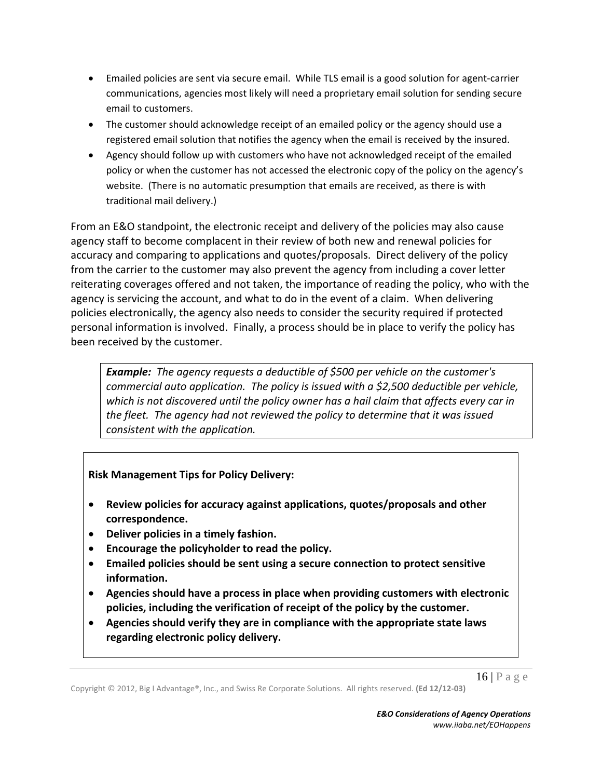- Emailed policies are sent via secure email. While TLS email is a good solution for agent‐carrier communications, agencies most likely will need a proprietary email solution for sending secure email to customers.
- The customer should acknowledge receipt of an emailed policy or the agency should use a registered email solution that notifies the agency when the email is received by the insured.
- Agency should follow up with customers who have not acknowledged receipt of the emailed policy or when the customer has not accessed the electronic copy of the policy on the agency's website. (There is no automatic presumption that emails are received, as there is with traditional mail delivery.)

From an E&O standpoint, the electronic receipt and delivery of the policies may also cause agency staff to become complacent in their review of both new and renewal policies for accuracy and comparing to applications and quotes/proposals. Direct delivery of the policy from the carrier to the customer may also prevent the agency from including a cover letter reiterating coverages offered and not taken, the importance of reading the policy, who with the agency is servicing the account, and what to do in the event of a claim. When delivering policies electronically, the agency also needs to consider the security required if protected personal information is involved. Finally, a process should be in place to verify the policy has been received by the customer.

*Example: The agency requests a deductible of \$500 per vehicle on the customer's commercial auto application. The policy is issued with a \$2,500 deductible per vehicle, which is not discovered until the policy owner has a hail claim that affects every car in the fleet. The agency had not reviewed the policy to determine that it was issued consistent with the application.*

# **Risk Management Tips for Policy Delivery:**

- **Review policies for accuracy against applications, quotes/proposals and other correspondence.**
- **Deliver policies in a timely fashion.**
- **Encourage the policyholder to read the policy.**
- **Emailed policies should be sent using a secure connection to protect sensitive information.**
- **Agencies should have a process in place when providing customers with electronic policies, including the verification of receipt of the policy by the customer.**
- **Agencies should verify they are in compliance with the appropriate state laws regarding electronic policy delivery.**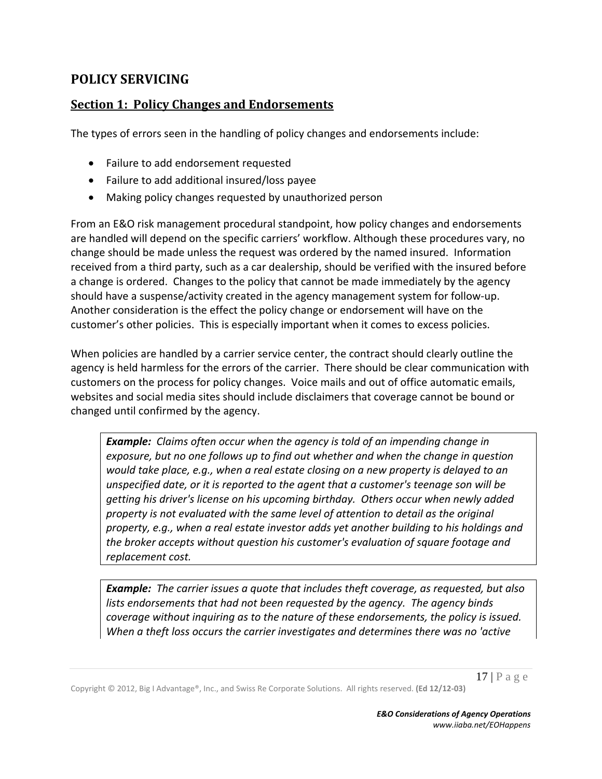# **POLICY SERVICING**

# **Section 1: Policy Changes and Endorsements**

The types of errors seen in the handling of policy changes and endorsements include:

- Failure to add endorsement requested
- Failure to add additional insured/loss payee
- Making policy changes requested by unauthorized person

From an E&O risk management procedural standpoint, how policy changes and endorsements are handled will depend on the specific carriers' workflow. Although these procedures vary, no change should be made unless the request was ordered by the named insured. Information received from a third party, such as a car dealership, should be verified with the insured before a change is ordered. Changes to the policy that cannot be made immediately by the agency should have a suspense/activity created in the agency management system for follow‐up. Another consideration is the effect the policy change or endorsement will have on the customer's other policies. This is especially important when it comes to excess policies.

When policies are handled by a carrier service center, the contract should clearly outline the agency is held harmless for the errors of the carrier. There should be clear communication with customers on the process for policy changes. Voice mails and out of office automatic emails, websites and social media sites should include disclaimers that coverage cannot be bound or changed until confirmed by the agency.

*Example: Claims often occur when the agency is told of an impending change in exposure, but no one follows up to find out whether and when the change in question would take place, e.g., when a real estate closing on a new property is delayed to an unspecified date, or it is reported to the agent that a customer's teenage son will be getting his driver's license on his upcoming birthday. Others occur when newly added property is not evaluated with the same level of attention to detail as the original property, e.g., when a real estate investor adds yet another building to his holdings and the broker accepts without question his customer's evaluation of square footage and replacement cost.*

*Example: The carrier issues a quote that includes theft coverage, as requested, but also lists endorsements that had not been requested by the agency. The agency binds coverage without inquiring as to the nature of these endorsements, the policy is issued. When a theft loss occurs the carrier investigates and determines there was no 'active*

 $17 \mid P$  a g e

Copyright © 2012, Big I Advantage®, Inc., and Swiss Re Corporate Solutions. All rights reserved. **(Ed 12/12‐03)**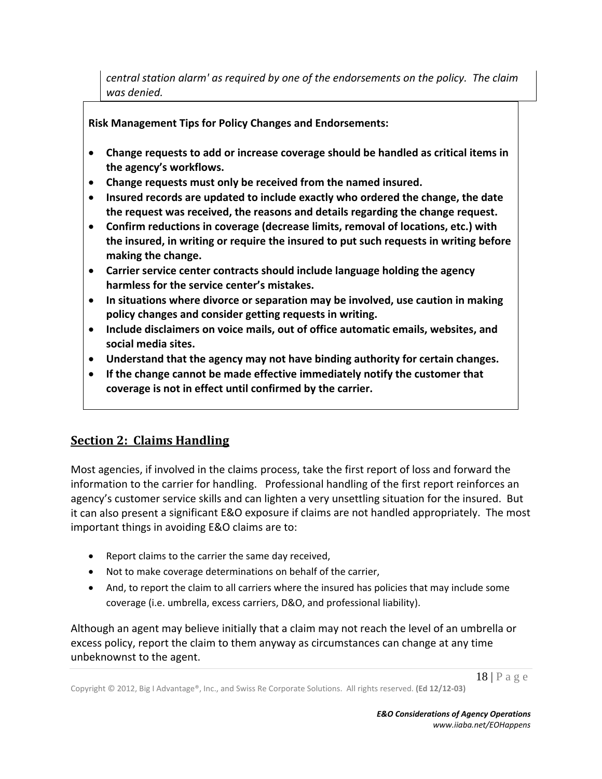*central station alarm' as required by one of the endorsements on the policy. The claim was denied.*

**Risk Management Tips for Policy Changes and Endorsements:** 

- **Change requests to add or increase coverage should be handled as critical items in the agency's workflows.**
- **Change requests must only be received from the named insured.**
- **Insured records are updated to include exactly who ordered the change, the date the request was received, the reasons and details regarding the change request.**
- **Confirm reductions in coverage (decrease limits, removal of locations, etc.) with the insured, in writing or require the insured to put such requests in writing before making the change.**
- **Carrier service center contracts should include language holding the agency harmless for the service center's mistakes.**
- **In situations where divorce or separation may be involved, use caution in making policy changes and consider getting requests in writing.**
- **Include disclaimers on voice mails, out of office automatic emails, websites, and social media sites.**
- **Understand that the agency may not have binding authority for certain changes.**
- **If the change cannot be made effective immediately notify the customer that coverage is not in effect until confirmed by the carrier.**

# **Section 2: Claims Handling**

Most agencies, if involved in the claims process, take the first report of loss and forward the information to the carrier for handling. Professional handling of the first report reinforces an agency's customer service skills and can lighten a very unsettling situation for the insured. But it can also present a significant E&O exposure if claims are not handled appropriately. The most important things in avoiding E&O claims are to:

- Report claims to the carrier the same day received,
- Not to make coverage determinations on behalf of the carrier,
- And, to report the claim to all carriers where the insured has policies that may include some coverage (i.e. umbrella, excess carriers, D&O, and professional liability).

Although an agent may believe initially that a claim may not reach the level of an umbrella or excess policy, report the claim to them anyway as circumstances can change at any time unbeknownst to the agent.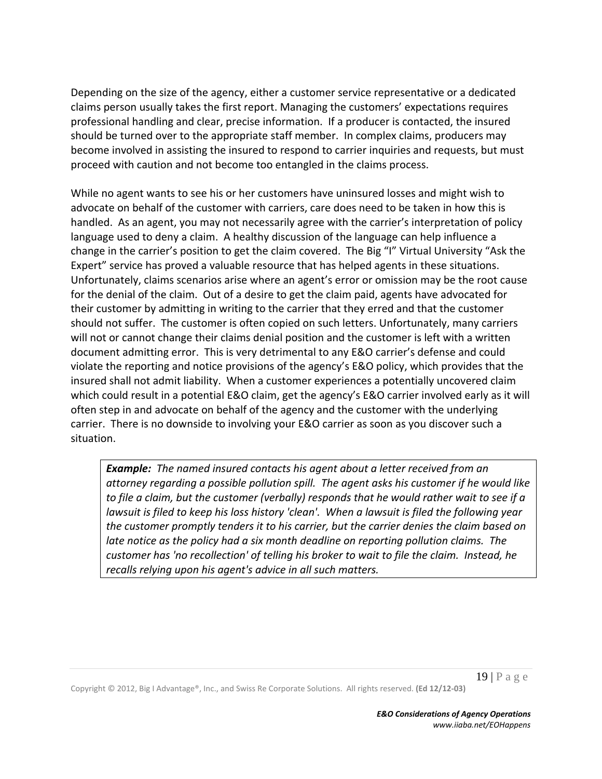Depending on the size of the agency, either a customer service representative or a dedicated claims person usually takes the first report. Managing the customers' expectations requires professional handling and clear, precise information. If a producer is contacted, the insured should be turned over to the appropriate staff member. In complex claims, producers may become involved in assisting the insured to respond to carrier inquiries and requests, but must proceed with caution and not become too entangled in the claims process.

While no agent wants to see his or her customers have uninsured losses and might wish to advocate on behalf of the customer with carriers, care does need to be taken in how this is handled. As an agent, you may not necessarily agree with the carrier's interpretation of policy language used to deny a claim. A healthy discussion of the language can help influence a change in the carrier's position to get the claim covered. The Big "I" Virtual University "Ask the Expert" service has proved a valuable resource that has helped agents in these situations. Unfortunately, claims scenarios arise where an agent's error or omission may be the root cause for the denial of the claim. Out of a desire to get the claim paid, agents have advocated for their customer by admitting in writing to the carrier that they erred and that the customer should not suffer. The customer is often copied on such letters. Unfortunately, many carriers will not or cannot change their claims denial position and the customer is left with a written document admitting error. This is very detrimental to any E&O carrier's defense and could violate the reporting and notice provisions of the agency's E&O policy, which provides that the insured shall not admit liability. When a customer experiences a potentially uncovered claim which could result in a potential E&O claim, get the agency's E&O carrier involved early as it will often step in and advocate on behalf of the agency and the customer with the underlying carrier. There is no downside to involving your E&O carrier as soon as you discover such a situation.

*Example: The named insured contacts his agent about a letter received from an attorney regarding a possible pollution spill. The agent asks his customer if he would like to file a claim, but the customer (verbally) responds that he would rather wait to see if a lawsuit is filed to keep his loss history 'clean'. When a lawsuit is filed the following year the customer promptly tenders it to his carrier, but the carrier denies the claim based on late notice as the policy had a six month deadline on reporting pollution claims. The customer has 'no recollection' of telling his broker to wait to file the claim. Instead, he recalls relying upon his agent's advice in all such matters.*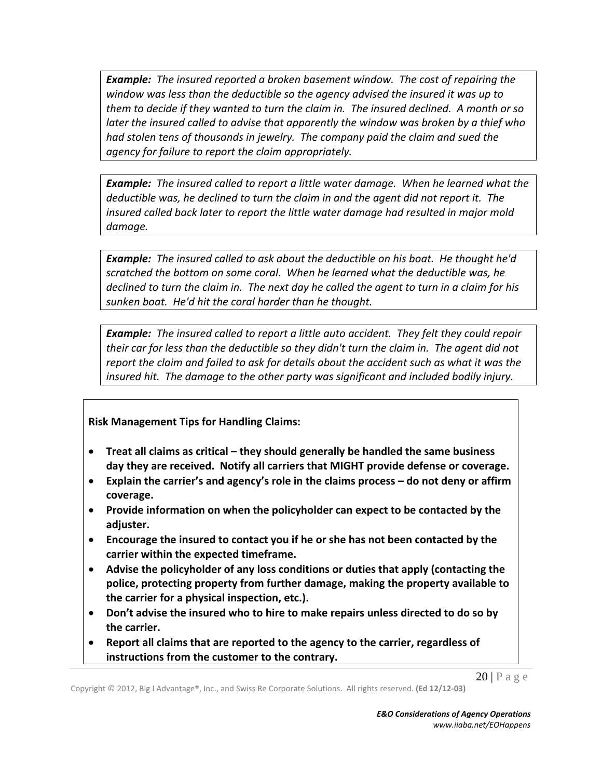*Example: The insured reported a broken basement window. The cost of repairing the window was less than the deductible so the agency advised the insured it was up to* them to decide if they wanted to turn the claim in. The insured declined. A month or so *later the insured called to advise that apparently the window was broken by a thief who had stolen tens of thousands in jewelry. The company paid the claim and sued the agency for failure to report the claim appropriately.*

*Example: The insured called to report a little water damage. When he learned what the deductible was, he declined to turn the claim in and the agent did not report it. The insured called back later to report the little water damage had resulted in major mold damage.*

*Example: The insured called to ask about the deductible on his boat. He thought he'd scratched the bottom on some coral. When he learned what the deductible was, he* declined to turn the claim in. The next day he called the agent to turn in a claim for his *sunken boat. He'd hit the coral harder than he thought.*

*Example: The insured called to report a little auto accident. They felt they could repair their car for less than the deductible so they didn't turn the claim in. The agent did not report the claim and failed to ask for details about the accident such as what it was the insured hit. The damage to the other party was significant and included bodily injury.*

#### **Risk Management Tips for Handling Claims:**

- **Treat all claims as critical – they should generally be handled the same business day they are received. Notify all carriers that MIGHT provide defense or coverage.**
- **Explain the carrier's and agency's role in the claims process – do not deny or affirm coverage.**
- **Provide information on when the policyholder can expect to be contacted by the adjuster.**
- **Encourage the insured to contact you if he or she has not been contacted by the carrier within the expected timeframe.**
- **Advise the policyholder of any loss conditions or duties that apply (contacting the police, protecting property from further damage, making the property available to the carrier for a physical inspection, etc.).**
- **Don't advise the insured who to hire to make repairs unless directed to do so by the carrier.**
- **Report all claims that are reported to the agency to the carrier, regardless of instructions from the customer to the contrary.**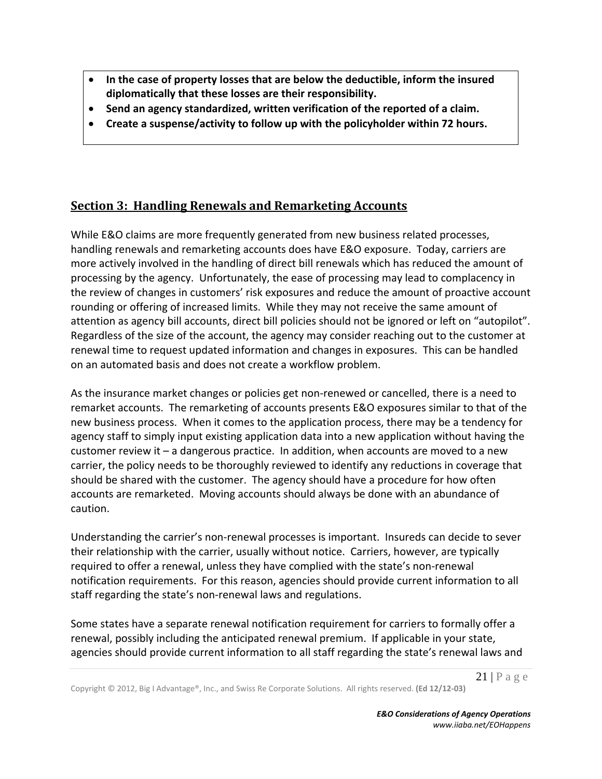- **In the case of property losses that are below the deductible, inform the insured diplomatically that these losses are their responsibility.**
- **Send an agency standardized, written verification of the reported of a claim.**
- **Create a suspense/activity to follow up with the policyholder within 72 hours.**

# **Section 3: Handling Renewals and Remarketing Accounts**

While E&O claims are more frequently generated from new business related processes, handling renewals and remarketing accounts does have E&O exposure. Today, carriers are more actively involved in the handling of direct bill renewals which has reduced the amount of processing by the agency. Unfortunately, the ease of processing may lead to complacency in the review of changes in customers' risk exposures and reduce the amount of proactive account rounding or offering of increased limits. While they may not receive the same amount of attention as agency bill accounts, direct bill policies should not be ignored or left on "autopilot". Regardless of the size of the account, the agency may consider reaching out to the customer at renewal time to request updated information and changes in exposures. This can be handled on an automated basis and does not create a workflow problem.

As the insurance market changes or policies get non-renewed or cancelled, there is a need to remarket accounts. The remarketing of accounts presents E&O exposures similar to that of the new business process. When it comes to the application process, there may be a tendency for agency staff to simply input existing application data into a new application without having the customer review it  $-$  a dangerous practice. In addition, when accounts are moved to a new carrier, the policy needs to be thoroughly reviewed to identify any reductions in coverage that should be shared with the customer. The agency should have a procedure for how often accounts are remarketed. Moving accounts should always be done with an abundance of caution.

Understanding the carrier's non‐renewal processes is important. Insureds can decide to sever their relationship with the carrier, usually without notice. Carriers, however, are typically required to offer a renewal, unless they have complied with the state's non‐renewal notification requirements. For this reason, agencies should provide current information to all staff regarding the state's non‐renewal laws and regulations.

Some states have a separate renewal notification requirement for carriers to formally offer a renewal, possibly including the anticipated renewal premium. If applicable in your state, agencies should provide current information to all staff regarding the state's renewal laws and

 $21$  | P a g e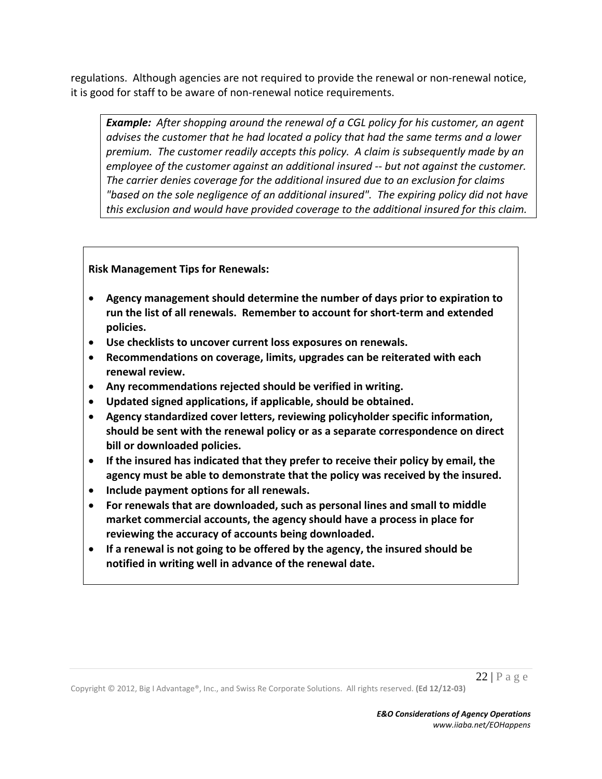regulations. Although agencies are not required to provide the renewal or non-renewal notice, it is good for staff to be aware of non‐renewal notice requirements.

*Example: After shopping around the renewal of a CGL policy for his customer, an agent advises the customer that he had located a policy that had the same terms and a lower premium. The customer readily accepts this policy. A claim is subsequently made by an employee of the customer against an additional insured ‐‐ but not against the customer. The carrier denies coverage for the additional insured due to an exclusion for claims "based on the sole negligence of an additional insured". The expiring policy did not have this exclusion and would have provided coverage to the additional insured for this claim.*

**Risk Management Tips for Renewals:** 

- **Agency management should determine the number of days prior to expiration to run the list of all renewals. Remember to account for short‐term and extended policies.**
- **Use checklists to uncover current loss exposures on renewals.**
- **Recommendations on coverage, limits, upgrades can be reiterated with each renewal review.**
- **Any recommendations rejected should be verified in writing.**
- **Updated signed applications, if applicable, should be obtained.**
- **Agency standardized cover letters, reviewing policyholder specific information, should be sent with the renewal policy or as a separate correspondence on direct bill or downloaded policies.**
- **If the insured has indicated that they prefer to receive their policy by email, the agency must be able to demonstrate that the policy was received by the insured.**
- **Include payment options for all renewals.**
- **For renewals that are downloaded, such as personal lines and small to middle market commercial accounts, the agency should have a process in place for reviewing the accuracy of accounts being downloaded.**
- **If a renewal is not going to be offered by the agency, the insured should be notified in writing well in advance of the renewal date.**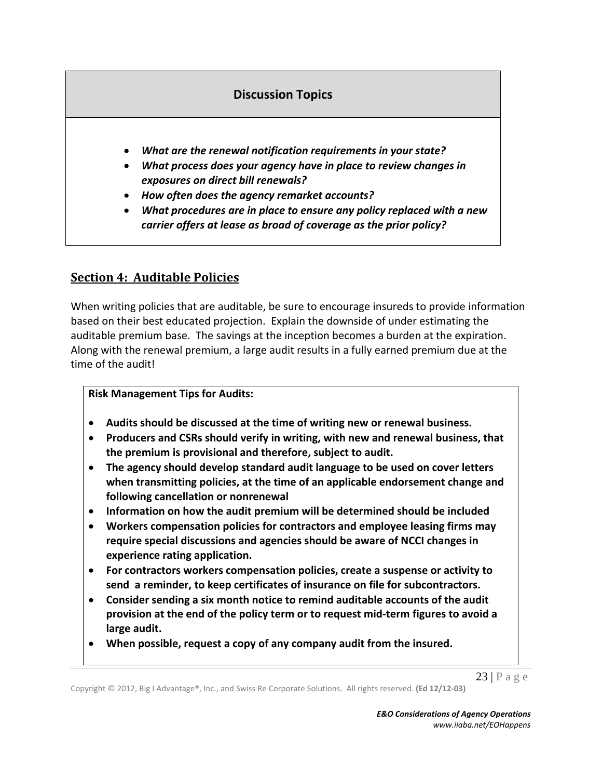# **Discussion Topics**

- *What are the renewal notification requirements in your state?*
- *What process does your agency have in place to review changes in exposures on direct bill renewals?*
- *How often does the agency remarket accounts?*
- *What procedures are in place to ensure any policy replaced with a new carrier offers at lease as broad of coverage as the prior policy?*

# **Section 4: Auditable Policies**

When writing policies that are auditable, be sure to encourage insureds to provide information based on their best educated projection. Explain the downside of under estimating the auditable premium base. The savings at the inception becomes a burden at the expiration. Along with the renewal premium, a large audit results in a fully earned premium due at the time of the audit!

#### **Risk Management Tips for Audits:**

- **Audits should be discussed at the time of writing new or renewal business.**
- **Producers and CSRs should verify in writing, with new and renewal business, that the premium is provisional and therefore, subject to audit.**
- **The agency should develop standard audit language to be used on cover letters when transmitting policies, at the time of an applicable endorsement change and following cancellation or nonrenewal**
- **Information on how the audit premium will be determined should be included**
- **Workers compensation policies for contractors and employee leasing firms may require special discussions and agencies should be aware of NCCI changes in experience rating application.**
- **For contractors workers compensation policies, create a suspense or activity to send a reminder, to keep certificates of insurance on file for subcontractors.**
- **Consider sending a six month notice to remind auditable accounts of the audit provision at the end of the policy term or to request mid‐term figures to avoid a large audit.**
- **When possible, request a copy of any company audit from the insured.**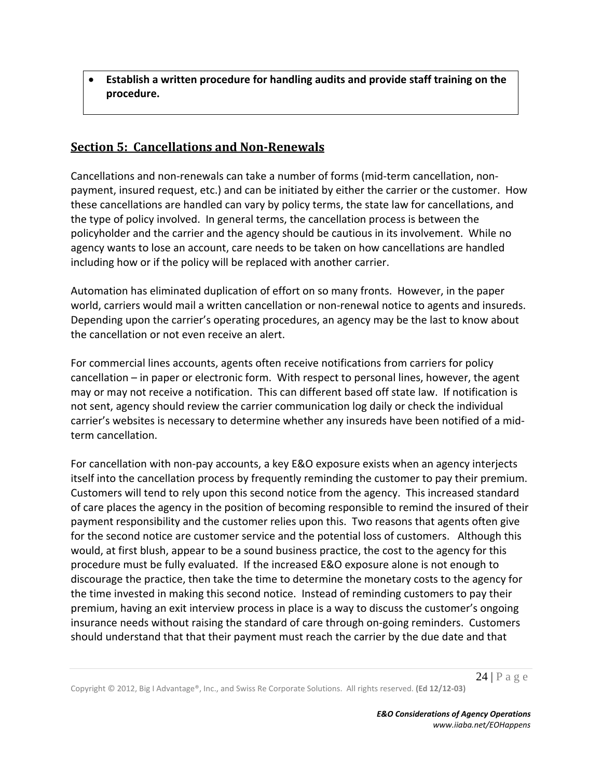**Establish a written procedure for handling audits and provide staff training on the procedure.**

# **Section 5: Cancellations and Non‐Renewals**

Cancellations and non‐renewals can take a number of forms (mid‐term cancellation, non‐ payment, insured request, etc.) and can be initiated by either the carrier or the customer. How these cancellations are handled can vary by policy terms, the state law for cancellations, and the type of policy involved. In general terms, the cancellation process is between the policyholder and the carrier and the agency should be cautious in its involvement. While no agency wants to lose an account, care needs to be taken on how cancellations are handled including how or if the policy will be replaced with another carrier.

Automation has eliminated duplication of effort on so many fronts. However, in the paper world, carriers would mail a written cancellation or non-renewal notice to agents and insureds. Depending upon the carrier's operating procedures, an agency may be the last to know about the cancellation or not even receive an alert.

For commercial lines accounts, agents often receive notifications from carriers for policy cancellation – in paper or electronic form. With respect to personal lines, however, the agent may or may not receive a notification. This can different based off state law. If notification is not sent, agency should review the carrier communication log daily or check the individual carrier's websites is necessary to determine whether any insureds have been notified of a mid‐ term cancellation.

For cancellation with non‐pay accounts, a key E&O exposure exists when an agency interjects itself into the cancellation process by frequently reminding the customer to pay their premium. Customers will tend to rely upon this second notice from the agency. This increased standard of care places the agency in the position of becoming responsible to remind the insured of their payment responsibility and the customer relies upon this. Two reasons that agents often give for the second notice are customer service and the potential loss of customers. Although this would, at first blush, appear to be a sound business practice, the cost to the agency for this procedure must be fully evaluated. If the increased E&O exposure alone is not enough to discourage the practice, then take the time to determine the monetary costs to the agency for the time invested in making this second notice. Instead of reminding customers to pay their premium, having an exit interview process in place is a way to discuss the customer's ongoing insurance needs without raising the standard of care through on‐going reminders. Customers should understand that that their payment must reach the carrier by the due date and that

 $24$  | P a g e

Copyright © 2012, Big I Advantage®, Inc., and Swiss Re Corporate Solutions. All rights reserved. **(Ed 12/12‐03)**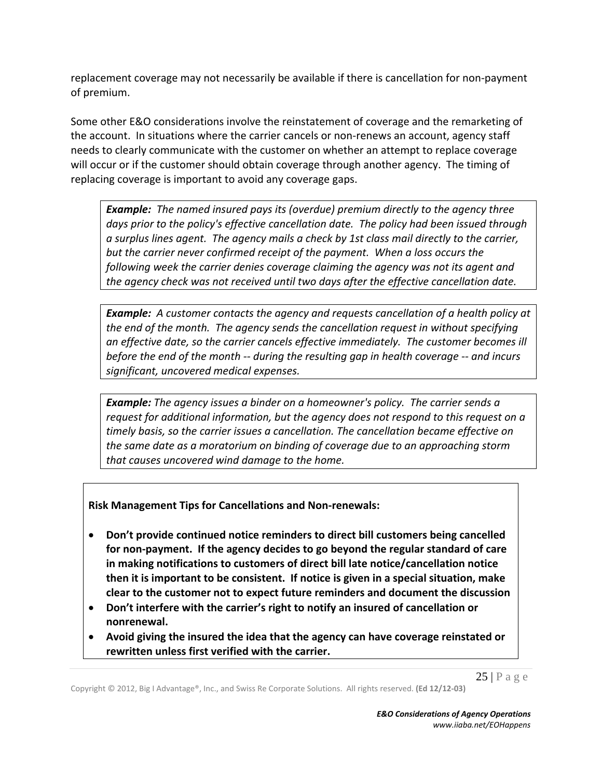replacement coverage may not necessarily be available if there is cancellation for non‐payment of premium.

Some other E&O considerations involve the reinstatement of coverage and the remarketing of the account. In situations where the carrier cancels or non-renews an account, agency staff needs to clearly communicate with the customer on whether an attempt to replace coverage will occur or if the customer should obtain coverage through another agency. The timing of replacing coverage is important to avoid any coverage gaps.

*Example: The named insured pays its (overdue) premium directly to the agency three days prior to the policy's effective cancellation date. The policy had been issued through a surplus lines agent. The agency mails a check by 1st class mail directly to the carrier, but the carrier never confirmed receipt of the payment. When a loss occurs the following week the carrier denies coverage claiming the agency was not its agent and the agency check was not received until two days after the effective cancellation date.* 

*Example: A customer contacts the agency and requests cancellation of a health policy at the end of the month. The agency sends the cancellation request in without specifying an effective date, so the carrier cancels effective immediately. The customer becomes ill before the end of the month ‐‐ during the resulting gap in health coverage ‐‐ and incurs significant, uncovered medical expenses.* 

*Example: The agency issues a binder on a homeowner's policy. The carrier sends a request for additional information, but the agency does not respond to this request on a timely basis, so the carrier issues a cancellation. The cancellation became effective on the same date as a moratorium on binding of coverage due to an approaching storm that causes uncovered wind damage to the home.*

**Risk Management Tips for Cancellations and Non‐renewals:** 

- **Don't provide continued notice reminders to direct bill customers being cancelled for non‐payment. If the agency decides to go beyond the regular standard of care in making notifications to customers of direct bill late notice/cancellation notice then it is important to be consistent. If notice is given in a special situation, make clear to the customer not to expect future reminders and document the discussion**
- **Don't interfere with the carrier's right to notify an insured of cancellation or nonrenewal.**
- **Avoid giving the insured the idea that the agency can have coverage reinstated or rewritten unless first verified with the carrier.**